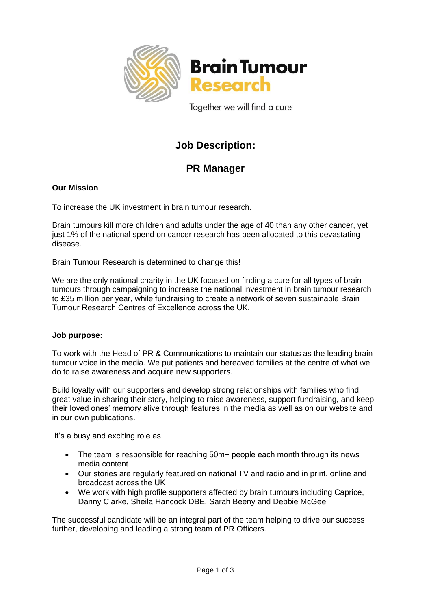

**Brain Tumour** Research

Together we will find a cure

# **Job Description:**

## **PR Manager**

## **Our Mission**

To increase the UK investment in brain tumour research.

Brain tumours kill more children and adults under the age of 40 than any other cancer, yet just 1% of the national spend on cancer research has been allocated to this devastating disease.

Brain Tumour Research is determined to change this!

We are the only national charity in the UK focused on finding a cure for all types of brain tumours through campaigning to increase the national investment in brain tumour research to £35 million per year, while fundraising to create a network of seven sustainable Brain Tumour Research Centres of Excellence across the UK.

## **Job purpose:**

To work with the Head of PR & Communications to maintain our status as the leading brain tumour voice in the media. We put patients and bereaved families at the centre of what we do to raise awareness and acquire new supporters.

Build loyalty with our supporters and develop strong relationships with families who find great value in sharing their story, helping to raise awareness, support fundraising, and keep their loved ones' memory alive through features in the media as well as on our website and in our own publications.

It's a busy and exciting role as:

- The team is responsible for reaching 50m+ people each month through its news media content
- Our stories are regularly featured on national TV and radio and in print, online and broadcast across the UK
- We work with high profile supporters affected by brain tumours including Caprice, Danny Clarke, Sheila Hancock DBE, Sarah Beeny and Debbie McGee

The successful candidate will be an integral part of the team helping to drive our success further, developing and leading a strong team of PR Officers.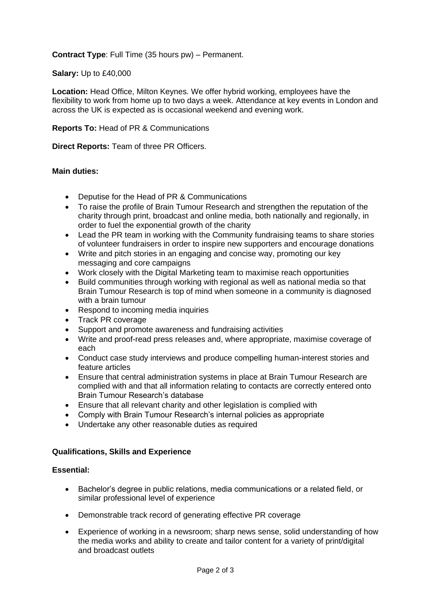**Contract Type**: Full Time (35 hours pw) – Permanent.

#### **Salary:** Up to £40,000

**Location:** Head Office, Milton Keynes. We offer hybrid working, employees have the flexibility to work from home up to two days a week. Attendance at key events in London and across the UK is expected as is occasional weekend and evening work.

#### **Reports To:** Head of PR & Communications

**Direct Reports:** Team of three PR Officers.

#### **Main duties:**

- Deputise for the Head of PR & Communications
- To raise the profile of Brain Tumour Research and strengthen the reputation of the charity through print, broadcast and online media, both nationally and regionally, in order to fuel the exponential growth of the charity
- Lead the PR team in working with the Community fundraising teams to share stories of volunteer fundraisers in order to inspire new supporters and encourage donations
- Write and pitch stories in an engaging and concise way, promoting our key messaging and core campaigns
- Work closely with the Digital Marketing team to maximise reach opportunities
- Build communities through working with regional as well as national media so that Brain Tumour Research is top of mind when someone in a community is diagnosed with a brain tumour
- Respond to incoming media inquiries
- Track PR coverage
- Support and promote awareness and fundraising activities
- Write and proof-read press releases and, where appropriate, maximise coverage of each
- Conduct case study interviews and produce compelling human-interest stories and feature articles
- Ensure that central administration systems in place at Brain Tumour Research are complied with and that all information relating to contacts are correctly entered onto Brain Tumour Research's database
- Ensure that all relevant charity and other legislation is complied with
- Comply with Brain Tumour Research's internal policies as appropriate
- Undertake any other reasonable duties as required

#### **Qualifications, Skills and Experience**

#### **Essential:**

- Bachelor's degree in public relations, media communications or a related field, or similar professional level of experience
- Demonstrable track record of generating effective PR coverage
- Experience of working in a newsroom; sharp news sense, solid understanding of how the media works and ability to create and tailor content for a variety of print/digital and broadcast outlets